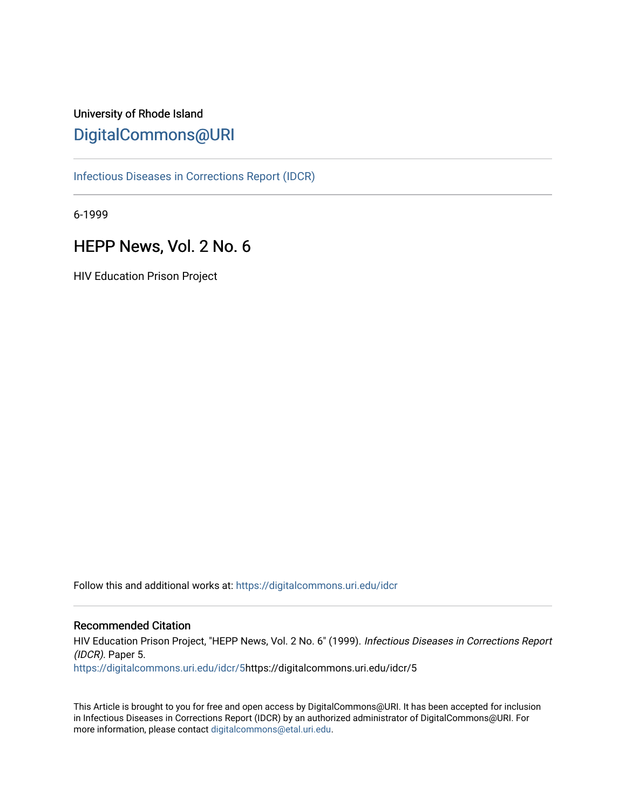# University of Rhode Island [DigitalCommons@URI](https://digitalcommons.uri.edu/)

[Infectious Diseases in Corrections Report \(IDCR\)](https://digitalcommons.uri.edu/idcr)

6-1999

# HEPP News, Vol. 2 No. 6

HIV Education Prison Project

Follow this and additional works at: [https://digitalcommons.uri.edu/idcr](https://digitalcommons.uri.edu/idcr?utm_source=digitalcommons.uri.edu%2Fidcr%2F5&utm_medium=PDF&utm_campaign=PDFCoverPages)

## Recommended Citation

HIV Education Prison Project, "HEPP News, Vol. 2 No. 6" (1999). Infectious Diseases in Corrections Report (IDCR). Paper 5. [https://digitalcommons.uri.edu/idcr/5](https://digitalcommons.uri.edu/idcr/5?utm_source=digitalcommons.uri.edu%2Fidcr%2F5&utm_medium=PDF&utm_campaign=PDFCoverPages)https://digitalcommons.uri.edu/idcr/5

This Article is brought to you for free and open access by DigitalCommons@URI. It has been accepted for inclusion in Infectious Diseases in Corrections Report (IDCR) by an authorized administrator of DigitalCommons@URI. For more information, please contact [digitalcommons@etal.uri.edu.](mailto:digitalcommons@etal.uri.edu)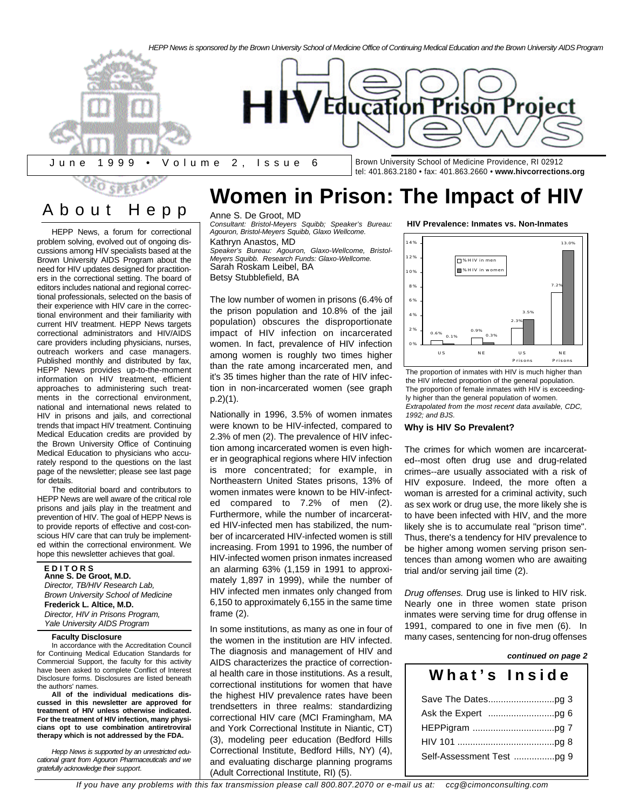

About Hep p

HEPP News, a forum for correctional problem solving, evolved out of ongoing discussions among HIV specialists based at the Brown University AIDS Program about the need for HIV updates designed for practitioners in the correctional setting. The board of editors includes national and regional correctional professionals, selected on the basis of their experience with HIV care in the correctional environment and their familiarity with current HIV treatment. HEPP News targets correctional administrators and HIV/AIDS care providers including physicians, nurses, outreach workers and case managers. Published monthly and distributed by fax, HEPP News provides up-to-the-moment information on HIV treatment, efficient approaches to administering such treatments in the correctional environment, national and international news related to HIV in prisons and jails, and correctional trends that impact HIV treatment. Continuing Medical Education credits are provided by the Brown University Office of Continuing Medical Education to physicians who accurately respond to the questions on the last page of the newsletter; please see last page for details.

The editorial board and contributors to HEPP News are well aware of the critical role prisons and jails play in the treatment and prevention of HIV. The goal of HEPP News is to provide reports of effective and cost-conscious HIV care that can truly be implemented within the correctional environment. We hope this newsletter achieves that goal.

**E D I T O R S Anne S. De Groot, M.D.** *Director, TB/HIV Research Lab, Brown University School of Medicine* **Frederick L. Altice, M.D.** *Director, HIV in Prisons Program,*

## *Yale University AIDS Program* **Faculty Disclosure**

In accordance with the Accreditation Council for Continuing Medical Education Standards for Commercial Support, the faculty for this activity have been asked to complete Conflict of Interest Disclosure forms. Disclosures are listed beneath the authors' names.

**All of the individual medications discussed in this newsletter are approved for treatment of HIV unless otherwise indicated. For the treatment of HIV infection, many physicians opt to use combination antiretroviral therapy which is not addressed by the FDA.**

*Hepp News is supported by an unrestricted educational grant from Agouron Pharmaceuticals and we gratefully acknowledge their support.*

# **Women in Prison: The Impact of HIV**

## Anne S. De Groot, MD

*Consultant: Bristol-Meyers Squibb; Speaker's Bureau: Agouron, Bristol-Meyers Squibb, Glaxo Wellcome.* Kathryn Anastos, MD *Speaker's Bureau: Agouron, Glaxo-Wellcome, Bristol-Meyers Squibb. Research Funds: Glaxo-Wellcome.* Sarah Roskam Leibel, BA Betsy Stubblefield, BA

The low number of women in prisons (6.4% of the prison population and 10.8% of the jail population) obscures the disproportionate impact of HIV infection on incarcerated women. In fact, prevalence of HIV infection among women is roughly two times higher than the rate among incarcerated men, and it's 35 times higher than the rate of HIV infection in non-incarcerated women (see graph p.2)(1).

Nationally in 1996, 3.5% of women inmates were known to be HIV-infected, compared to 2.3% of men (2). The prevalence of HIV infection among incarcerated women is even higher in geographical regions where HIV infection is more concentrated; for example, in Northeastern United States prisons, 13% of women inmates were known to be HIV-infected compared to 7.2% of men (2). Furthermore, while the number of incarcerated HIV-infected men has stabilized, the number of incarcerated HIV-infected women is still increasing. From 1991 to 1996, the number of HIV-infected women prison inmates increased an alarming 63% (1,159 in 1991 to approximately 1,897 in 1999), while the number of HIV infected men inmates only changed from 6,150 to approximately 6,155 in the same time frame (2).

In some institutions, as many as one in four of the women in the institution are HIV infected. The diagnosis and management of HIV and AIDS characterizes the practice of correctional health care in those institutions. As a result, correctional institutions for women that have the highest HIV prevalence rates have been trendsetters in three realms: standardizing correctional HIV care (MCI Framingham, MA and York Correctional Institute in Niantic, CT) (3), modeling peer education (Bedford Hills Correctional Institute, Bedford Hills, NY) (4), and evaluating discharge planning programs (Adult Correctional Institute, RI) (5).

**HIV Prevalence: Inmates vs. Non-Inmates**



The proportion of inmates with HIV is much higher than the HIV infected proportion of the general population. The proportion of female inmates with HIV is exceedingly higher than the general population of women. *Extrapolated from the most recent data available, CDC, 1992; and BJS.*

### **Why is HIV So Prevalent?**

The crimes for which women are incarcerated--most often drug use and drug-related crimes--are usually associated with a risk of HIV exposure. Indeed, the more often a woman is arrested for a criminal activity, such as sex work or drug use, the more likely she is to have been infected with HIV, and the more likely she is to accumulate real "prison time". Thus, there's a tendency for HIV prevalence to be higher among women serving prison sentences than among women who are awaiting trial and/or serving jail time (2).

*Drug offenses.* Drug use is linked to HIV risk. Nearly one in three women state prison inmates were serving time for drug offense in 1991, compared to one in five men (6). In many cases, sentencing for non-drug offenses

## Save The Dates..........................pg 3 Ask the Expert ..........................pg 6 HEPPigram ................................pg 7 HIV 101 ......................................pg 8 Self-Assessment Test ................pg 9 *continued on page 2* **What's Insid e**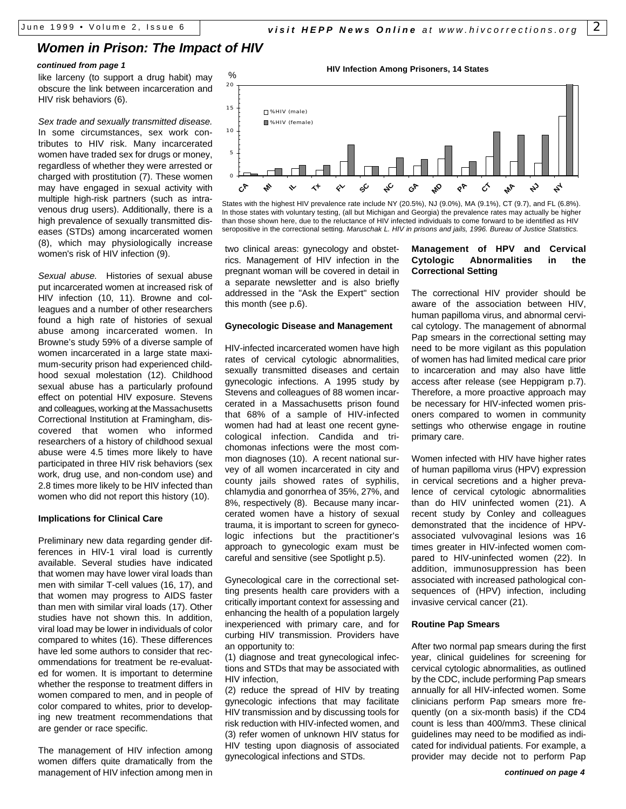## *Women in Prison: The Impact of HIV*

## *continued from page 1*

like larceny (to support a drug habit) may obscure the link between incarceration and HIV risk behaviors (6).

*Sex trade and sexually transmitted disease.* In some circumstances, sex work contributes to HIV risk. Many incarcerated women have traded sex for drugs or money, regardless of whether they were arrested or charged with prostitution (7). These women may have engaged in sexual activity with multiple high-risk partners (such as intravenous drug users). Additionally, there is a high prevalence of sexually transmitted diseases (STDs) among incarcerated women (8), which may physiologically increase women's risk of HIV infection (9).

*Sexual abuse.* Histories of sexual abuse put incarcerated women at increased risk of HIV infection (10, 11). Browne and colleagues and a number of other researchers found a high rate of histories of sexual abuse among incarcerated women. In Browne's study 59% of a diverse sample of women incarcerated in a large state maximum-security prison had experienced childhood sexual molestation (12). Childhood sexual abuse has a particularly profound effect on potential HIV exposure. Stevens and colleagues, working at the Massachusetts Correctional Institution at Framingham, discovered that women who informed researchers of a history of childhood sexual abuse were 4.5 times more likely to have participated in three HIV risk behaviors (sex work, drug use, and non-condom use) and 2.8 times more likely to be HIV infected than women who did not report this history (10).

## **Implications for Clinical Care**

Preliminary new data regarding gender differences in HIV-1 viral load is currently available. Several studies have indicated that women may have lower viral loads than men with similar T-cell values (16, 17), and that women may progress to AIDS faster than men with similar viral loads (17). Other studies have not shown this. In addition, viral load may be lower in individuals of color compared to whites (16). These differences have led some authors to consider that recommendations for treatment be re-evaluated for women. It is important to determine whether the response to treatment differs in women compared to men, and in people of color compared to whites, prior to developing new treatment recommendations that are gender or race specific.

The management of HIV infection among women differs quite dramatically from the management of HIV infection among men in





States with the highest HIV prevalence rate include NY (20.5%), NJ (9.0%), MA (9.1%), CT (9.7), and FL (6.8%). In those states with voluntary testing, (all but Michigan and Georgia) the prevalence rates may actually be higher than those shown here, due to the reluctance of HIV infected individuals to come forward to be identified as HIV seropositive in the correctional setting. *Maruschak L. HIV in prisons and jails, 1996. Bureau of Justice Statistics.*

two clinical areas: gynecology and obstetrics. Management of HIV infection in the pregnant woman will be covered in detail in a separate newsletter and is also briefly addressed in the "Ask the Expert" section this month (see p.6).

## **Gynecologic Disease and Management**

HIV-infected incarcerated women have high rates of cervical cytologic abnormalities, sexually transmitted diseases and certain gynecologic infections. A 1995 study by Stevens and colleagues of 88 women incarcerated in a Massachusetts prison found that 68% of a sample of HIV-infected women had had at least one recent gynecological infection. Candida and trichomonas infections were the most common diagnoses (10). A recent national survey of all women incarcerated in city and county jails showed rates of syphilis, chlamydia and gonorrhea of 35%, 27%, and 8%, respectively (8). Because many incarcerated women have a history of sexual trauma, it is important to screen for gynecologic infections but the practitioner's approach to gynecologic exam must be careful and sensitive (see Spotlight p.5).

Gynecological care in the correctional setting presents health care providers with a critically important context for assessing and enhancing the health of a population largely inexperienced with primary care, and for curbing HIV transmission. Providers have an opportunity to:

(1) diagnose and treat gynecological infections and STDs that may be associated with HIV infection,

(2) reduce the spread of HIV by treating gynecologic infections that may facilitate HIV transmission and by discussing tools for risk reduction with HIV-infected women, and (3) refer women of unknown HIV status for HIV testing upon diagnosis of associated gynecological infections and STDs.

## **Management of HPV and Cervical Cytologic Abnormalities in the Correctional Setting**

The correctional HIV provider should be aware of the association between HIV, human papilloma virus, and abnormal cervical cytology. The management of abnormal Pap smears in the correctional setting may need to be more vigilant as this population of women has had limited medical care prior to incarceration and may also have little access after release (see Heppigram p.7). Therefore, a more proactive approach may be necessary for HIV-infected women prisoners compared to women in community settings who otherwise engage in routine primary care.

Women infected with HIV have higher rates of human papilloma virus (HPV) expression in cervical secretions and a higher prevalence of cervical cytologic abnormalities than do HIV uninfected women (21). A recent study by Conley and colleagues demonstrated that the incidence of HPVassociated vulvovaginal lesions was 16 times greater in HIV-infected women compared to HIV-uninfected women (22). In addition, immunosuppression has been associated with increased pathological consequences of (HPV) infection, including invasive cervical cancer (21).

### **Routine Pap Smears**

After two normal pap smears during the first year, clinical guidelines for screening for cervical cytologic abnormalities, as outlined by the CDC, include performing Pap smears annually for all HIV-infected women. Some clinicians perform Pap smears more frequently (on a six-month basis) if the CD4 count is less than 400/mm3. These clinical guidelines may need to be modified as indicated for individual patients. For example, a provider may decide not to perform Pap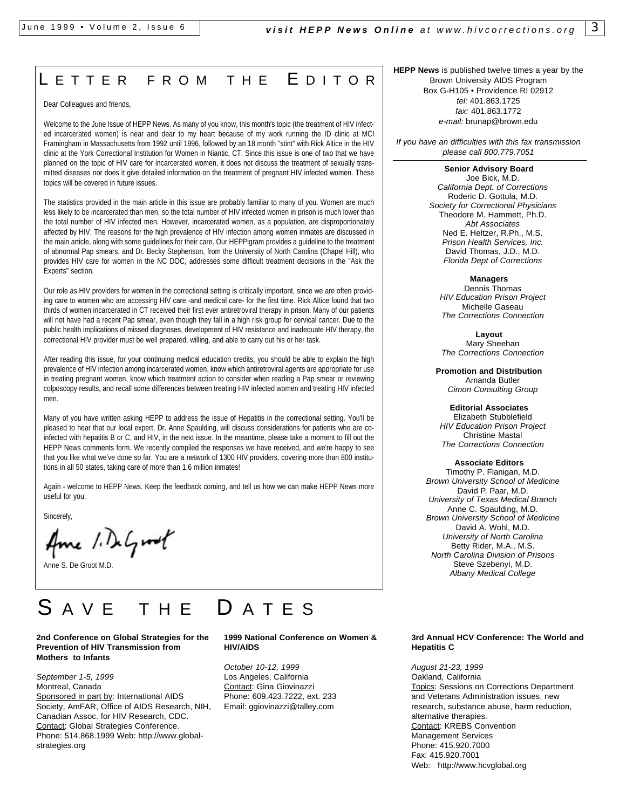# LETTER FROM THE EDITOR

Dear Colleagues and friends,

Welcome to the June Issue of HEPP News. As many of you know, this month's topic (the treatment of HIV infected incarcerated women) is near and dear to my heart because of my work running the ID clinic at MCI Framingham in Massachusetts from 1992 until 1996, followed by an 18 month "stint" with Rick Altice in the HIV clinic at the York Correctional Institution for Women in Niantic, CT. Since this issue is one of two that we have planned on the topic of HIV care for incarcerated women, it does not discuss the treatment of sexually transmitted diseases nor does it give detailed information on the treatment of pregnant HIV infected women. These topics will be covered in future issues.

The statistics provided in the main article in this issue are probably familiar to many of you. Women are much less likely to be incarcerated than men, so the total number of HIV infected women in prison is much lower than the total number of HIV infected men. However, incarcerated women, as a population, are disproportionately affected by HIV. The reasons for the high prevalence of HIV infection among women inmates are discussed in the main article, along with some guidelines for their care. Our HEPPigram provides a guideline to the treatment of abnormal Pap smears, and Dr. Becky Stephenson, from the University of North Carolina (Chapel Hill), who provides HIV care for women in the NC DOC, addresses some difficult treatment decisions in the "Ask the Experts" section.

Our role as HIV providers for women in the correctional setting is critically important, since we are often providing care to women who are accessing HIV care -and medical care- for the first time. Rick Altice found that two thirds of women incarcerated in CT received their first ever antiretroviral therapy in prison. Many of our patients will not have had a recent Pap smear, even though they fall in a high risk group for cervical cancer. Due to the public health implications of missed diagnoses, development of HIV resistance and inadequate HIV therapy, the correctional HIV provider must be well prepared, willing, and able to carry out his or her task.

After reading this issue, for your continuing medical education credits, you should be able to explain the high prevalence of HIV infection among incarcerated women, know which antiretroviral agents are appropriate for use in treating pregnant women, know which treatment action to consider when reading a Pap smear or reviewing colposcopy results, and recall some differences between treating HIV infected women and treating HIV infected men.

Many of you have written asking HEPP to address the issue of Hepatitis in the correctional setting. You'll be pleased to hear that our local expert, Dr. Anne Spaulding, will discuss considerations for patients who are coinfected with hepatitis B or C, and HIV, in the next issue. In the meantime, please take a moment to fill out the HEPP News comments form. We recently compiled the responses we have received, and we're happy to see that you like what we've done so far. You are a network of 1300 HIV providers, covering more than 800 institutions in all 50 states, taking care of more than 1.6 million inmates!

Again - welcome to HEPP News. Keep the feedback coming, and tell us how we can make HEPP News more useful for you.

Sincerely,

Ame 1. DeGroot

Anne S. De Groot M.D.

# A V E T H E D A T E S

### **2nd Conference on Global Strategies for the Prevention of HIV Transmission from Mothers to Infants**

*September 1-5, 1999* Montreal, Canada

Sponsored in part by: International AIDS Society, AmFAR, Office of AIDS Research, NIH, Canadian Assoc. for HIV Research, CDC. Contact: Global Strategies Conference. Phone: 514.868.1999 Web: http://www.globalstrategies.org

## **1999 National Conference on Women & HIV/AIDS**

*October 10-12, 1999* Los Angeles, California Contact: Gina Giovinazzi Phone: 609.423.7222, ext. 233 Email: ggiovinazzi@talley.com

**HEPP News** is published twelve times a year by the Brown University AIDS Program Box G-H105 • Providence RI 02912 *tel:* 401.863.1725 *fax:* 401.863.1772 *e-mail:* brunap@brown.edu

*If you have an difficulties with this fax transmission please call 800.779.7051*

### **Senior Advisory Board**

Joe Bick, M.D. *California Dept. of Corrections* Roderic D. Gottula, M.D. *Society for Correctional Physicians* Theodore M. Hammett, Ph.D. *Abt Associates* Ned E. Heltzer, R.Ph., M.S. *Prison Health Services, Inc.* David Thomas, J.D., M.D. *Florida Dept of Corrections*

**Managers**

Dennis Thomas *HIV Education Prison Project* Michelle Gaseau *The Corrections Connection*

**Layout**  Mary Sheehan *The Corrections Connection*

**Promotion and Distribution** Amanda Butler *Cimon Consulting Group*

**Editorial Associates** Elizabeth Stubblefield *HIV Education Prison Project* Christine Mastal *The Corrections Connection*

**Associate Editors** Timothy P. Flanigan, M.D. *Brown University School of Medicine* David P. Paar, M.D. *University of Texas Medical Branch* Anne C. Spaulding, M.D. *Brown University School of Medicine* David A. Wohl, M.D. *University of North Carolina* Betty Rider, M.A., M.S. *North Carolina Division of Prisons* Steve Szebenyi, M.D. *Albany Medical College*

## **3rd Annual HCV Conference: The World and Hepatitis C**

*August 21-23, 1999* Oakland, California Topics: Sessions on Corrections Department and Veterans Administration issues, new research, substance abuse, harm reduction, alternative therapies. Contact: KREBS Convention Management Services Phone: 415.920.7000 Fax: 415.920.7001 Web: http://www.hcvglobal.org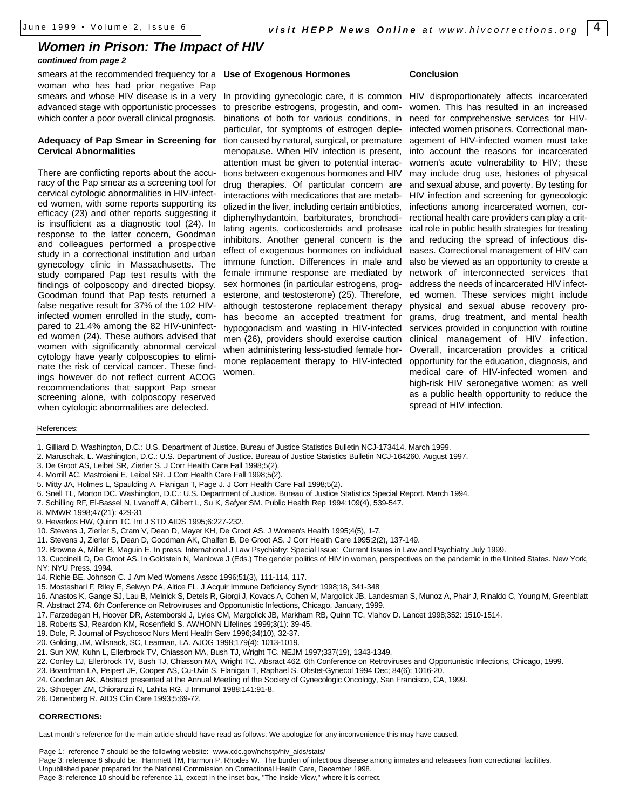## *Women in Prison: The Impact of HIV*

## *continued from page 2*

smears at the recommended frequency for a **Use of Exogenous Hormones** woman who has had prior negative Pap smears and whose HIV disease is in a very advanced stage with opportunistic processes which confer a poor overall clinical prognosis.

## **Adequacy of Pap Smear in Screening for Cervical Abnormalities**

There are conflicting reports about the accuracy of the Pap smear as a screening tool for cervical cytologic abnormalities in HIV-infected women, with some reports supporting its efficacy (23) and other reports suggesting it is insufficient as a diagnostic tool (24). In response to the latter concern, Goodman and colleagues performed a prospective study in a correctional institution and urban gynecology clinic in Massachusetts. The study compared Pap test results with the findings of colposcopy and directed biopsy. Goodman found that Pap tests returned a false negative result for 37% of the 102 HIVinfected women enrolled in the study, compared to 21.4% among the 82 HIV-uninfected women (24). These authors advised that women with significantly abnormal cervical cytology have yearly colposcopies to eliminate the risk of cervical cancer. These findings however do not reflect current ACOG recommendations that support Pap smear screening alone, with colposcopy reserved when cytologic abnormalities are detected.

In providing gynecologic care, it is common to prescribe estrogens, progestin, and combinations of both for various conditions, in particular, for symptoms of estrogen depletion caused by natural, surgical, or premature menopause. When HIV infection is present, attention must be given to potential interactions between exogenous hormones and HIV drug therapies. Of particular concern are interactions with medications that are metabolized in the liver, including certain antibiotics, diphenylhydantoin, barbiturates, bronchodilating agents, corticosteroids and protease inhibitors. Another general concern is the effect of exogenous hormones on individual immune function. Differences in male and female immune response are mediated by sex hormones (in particular estrogens, progesterone, and testosterone) (25). Therefore, although testosterone replacement therapy has become an accepted treatment for hypogonadism and wasting in HIV-infected men (26), providers should exercise caution when administering less-studied female hormone replacement therapy to HIV-infected women.

## **Conclusion**

HIV disproportionately affects incarcerated women. This has resulted in an increased need for comprehensive services for HIVinfected women prisoners. Correctional management of HIV-infected women must take into account the reasons for incarcerated women's acute vulnerability to HIV; these may include drug use, histories of physical and sexual abuse, and poverty. By testing for HIV infection and screening for gynecologic infections among incarcerated women, correctional health care providers can play a critical role in public health strategies for treating and reducing the spread of infectious diseases. Correctional management of HIV can also be viewed as an opportunity to create a network of interconnected services that address the needs of incarcerated HIV infected women. These services might include physical and sexual abuse recovery programs, drug treatment, and mental health services provided in conjunction with routine clinical management of HIV infection. Overall, incarceration provides a critical opportunity for the education, diagnosis, and medical care of HIV-infected women and high-risk HIV seronegative women; as well as a public health opportunity to reduce the spread of HIV infection.

### References:

- 1. Gilliard D. Washington, D.C.: U.S. Department of Justice. Bureau of Justice Statistics Bulletin NCJ-173414. March 1999.
- 2. Maruschak, L. Washington, D.C.: U.S. Department of Justice. Bureau of Justice Statistics Bulletin NCJ-164260. August 1997.
- 3. De Groot AS, Leibel SR, Zierler S. J Corr Health Care Fall 1998;5(2).
- 4. Morrill AC, Mastroieni E, Leibel SR. J Corr Health Care Fall 1998;5(2).
- 5. Mitty JA, Holmes L, Spaulding A, Flanigan T, Page J. J Corr Health Care Fall 1998;5(2).
- 6. Snell TL, Morton DC. Washington, D.C.: U.S. Department of Justice. Bureau of Justice Statistics Special Report. March 1994.
- 7. Schilling RF, El-Bassel N, Lvanoff A, Gilbert L, Su K, Safyer SM. Public Health Rep 1994;109(4), 539-547.
- 8. MMWR 1998;47(21): 429-31
- 9. Heverkos HW, Quinn TC. Int J STD AIDS 1995;6:227-232.
- 10. Stevens J, Zierler S, Cram V, Dean D, Mayer KH, De Groot AS. J Women's Health 1995;4(5), 1-7.
- 11. Stevens J, Zierler S, Dean D, Goodman AK, Chalfen B, De Groot AS. J Corr Health Care 1995;2(2), 137-149.
- 12. Browne A, Miller B, Maguin E. In press, International J Law Psychiatry: Special Issue: Current Issues in Law and Psychiatry July 1999.
- 13. Cuccinelli D, De Groot AS. In Goldstein N, Manlowe J (Eds.) The gender politics of HIV in women, perspectives on the pandemic in the United States. New York, NY: NYU Press. 1994.
- 14. Richie BE, Johnson C. J Am Med Womens Assoc 1996;51(3), 111-114, 117.
- 15. Mostashari F, Riley E, Selwyn PA, Altice FL. J Acquir Immune Deficiency Syndr 1998;18, 341-348
- 16. Anastos K, Gange SJ, Lau B, Melnick S, Detels R, Giorgi J, Kovacs A, Cohen M, Margolick JB, Landesman S, Munoz A, Phair J, Rinaldo C, Young M, Greenblatt R. Abstract 274. 6th Conference on Retroviruses and Opportunistic Infections, Chicago, January, 1999.
- 17. Farzedegan H, Hoover DR, Astemborski J, Lyles CM, Margolick JB, Markham RB, Quinn TC, Vlahov D. Lancet 1998;352: 1510-1514.
- 18. Roberts SJ, Reardon KM, Rosenfield S. AWHONN Lifelines 1999;3(1): 39-45.
- 19. Dole, P. Journal of Psychosoc Nurs Ment Health Serv 1996;34(10), 32-37.
- 20. Golding, JM, Wilsnack, SC, Learman, LA. AJOG 1998;179(4): 1013-1019.
- 21. Sun XW, Kuhn L, Ellerbrock TV, Chiasson MA, Bush TJ, Wright TC. NEJM 1997;337(19), 1343-1349.
- 22. Conley LJ, Ellerbrock TV, Bush TJ, Chiasson MA, Wright TC. Absract 462. 6th Conference on Retroviruses and Opportunistic Infections, Chicago, 1999.
- 23. Boardman LA, Peipert JF, Cooper AS, Cu-Uvin S, Flanigan T, Raphael S. Obstet-Gynecol 1994 Dec; 84(6): 1016-20.
- 24. Goodman AK, Abstract presented at the Annual Meeting of the Society of Gynecologic Oncology, San Francisco, CA, 1999.
- 25. Sthoeger ZM, Chioranzzi N, Lahita RG. J Immunol 1988;141:91-8.
- 26. Denenberg R. AIDS Clin Care 1993;5:69-72.

### **CORRECTIONS:**

Last month's reference for the main article should have read as follows. We apologize for any inconvenience this may have caused.

Page 1: reference 7 should be the following website: www.cdc.gov/nchstp/hiv\_aids/stats/

- Page 3: reference 8 should be: Hammett TM, Harmon P, Rhodes W. The burden of infectious disease among inmates and releasees from correctional facilities.
- Unpublished paper prepared for the National Commission on Correctional Health Care, December 1998.

Page 3: reference 10 should be reference 11, except in the inset box, "The Inside View," where it is correct.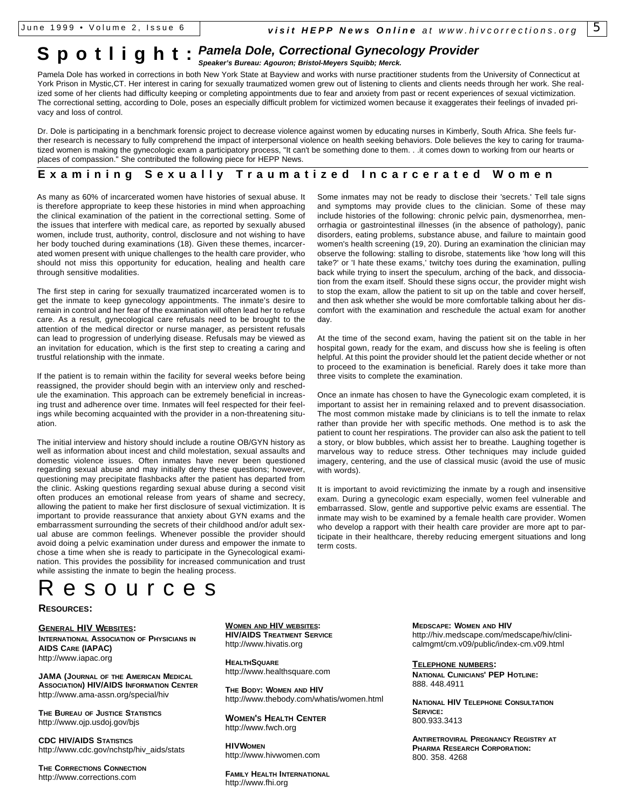# **S p o t l i g h t** : *Pamela Dole, Correctional Gynecology Provider*

*Speaker's Bureau: Agouron; Bristol-Meyers Squibb; Merck.*

Pamela Dole has worked in corrections in both New York State at Bayview and works with nurse practitioner students from the University of Connecticut at York Prison in Mystic,CT. Her interest in caring for sexually traumatized women grew out of listening to clients and clients needs through her work. She realized some of her clients had difficulty keeping or completing appointments due to fear and anxiety from past or recent experiences of sexual victimization. The correctional setting, according to Dole, poses an especially difficult problem for victimized women because it exaggerates their feelings of invaded privacy and loss of control.

Dr. Dole is participating in a benchmark forensic project to decrease violence against women by educating nurses in Kimberly, South Africa. She feels further research is necessary to fully comprehend the impact of interpersonal violence on health seeking behaviors. Dole believes the key to caring for traumatized women is making the gynecologic exam a participatory process, "It can't be something done to them. . .it comes down to working from our hearts or places of compassion." She contributed the following piece for HEPP News.

## **Examining Sexually Traumatized Incarcerated Women**

As many as 60% of incarcerated women have histories of sexual abuse. It is therefore appropriate to keep these histories in mind when approaching the clinical examination of the patient in the correctional setting. Some of the issues that interfere with medical care, as reported by sexually abused women, include trust, authority, control, disclosure and not wishing to have her body touched during examinations (18). Given these themes, incarcerated women present with unique challenges to the health care provider, who should not miss this opportunity for education, healing and health care through sensitive modalities.

The first step in caring for sexually traumatized incarcerated women is to get the inmate to keep gynecology appointments. The inmate's desire to remain in control and her fear of the examination will often lead her to refuse care. As a result, gynecological care refusals need to be brought to the attention of the medical director or nurse manager, as persistent refusals can lead to progression of underlying disease. Refusals may be viewed as an invitation for education, which is the first step to creating a caring and trustful relationship with the inmate.

If the patient is to remain within the facility for several weeks before being reassigned, the provider should begin with an interview only and reschedule the examination. This approach can be extremely beneficial in increasing trust and adherence over time. Inmates will feel respected for their feelings while becoming acquainted with the provider in a non-threatening situation.

The initial interview and history should include a routine OB/GYN history as well as information about incest and child molestation, sexual assaults and domestic violence issues. Often inmates have never been questioned regarding sexual abuse and may initially deny these questions; however, questioning may precipitate flashbacks after the patient has departed from the clinic. Asking questions regarding sexual abuse during a second visit often produces an emotional release from years of shame and secrecy, allowing the patient to make her first disclosure of sexual victimization. It is important to provide reassurance that anxiety about GYN exams and the embarrassment surrounding the secrets of their childhood and/or adult sexual abuse are common feelings. Whenever possible the provider should avoid doing a pelvic examination under duress and empower the inmate to chose a time when she is ready to participate in the Gynecological examination. This provides the possibility for increased communication and trust while assisting the inmate to begin the healing process.

# esources

**RESOURCES:**

**GENERAL HIV WEBSITES: INTERNATIONAL ASSOCIATION OF PHYSICIANS IN AIDS CARE (IAPAC)** http://www.iapac.org

**JAMA (JOURNAL OF THE AMERICAN MEDICAL ASSOCIATION) HIV/AIDS INFORMATION CENTER** http://www.ama-assn.org/special/hiv

**THE BUREAU OF JUSTICE STATISTICS** http://www.ojp.usdoj.gov/bjs

**CDC HIV/AIDS STATISTICS** http://www.cdc.gov/nchstp/hiv\_aids/stats

**THE CORRECTIONS CONNECTION** http://www.corrections.com

**WOMEN AND HIV WEBSITES: HIV/AIDS TREATMENT SERVICE** http://www.hivatis.org

**HEALTHSQUARE** http://www.healthsquare.com

**THE BODY: WOMEN AND HIV** http://www.thebody.com/whatis/women.html

**WOMEN'S HEALTH CENTER** http://www.fwch.org

**HIVWOMEN** http://www.hivwomen.com

**FAMILY HEALTH INTERNATIONAL** http://www.fhi.org

**MEDSCAPE: WOMEN AND HIV** http://hiv.medscape.com/medscape/hiv/clinicalmgmt/cm.v09/public/index-cm.v09.html

**TELEPHONE NUMBERS: NATIONAL CLINICIANS' PEP HOTLINE:** 888. 448.4911

**NATIONAL HIV TELEPHONE CONSULTATION SERVICE:** 800.933.3413

**ANTIRETROVIRAL PREGNANCY REGISTRY AT PHARMA RESEARCH CORPORATION:** 800. 358. 4268

Some inmates may not be ready to disclose their 'secrets.' Tell tale signs and symptoms may provide clues to the clinician. Some of these may include histories of the following: chronic pelvic pain, dysmenorrhea, menorrhagia or gastrointestinal illnesses (in the absence of pathology), panic disorders, eating problems, substance abuse, and failure to maintain good women's health screening (19, 20). During an examination the clinician may observe the following: stalling to disrobe, statements like 'how long will this take?' or 'I hate these exams,' twitchy toes during the examination, pulling back while trying to insert the speculum, arching of the back, and dissociation from the exam itself. Should these signs occur, the provider might wish to stop the exam, allow the patient to sit up on the table and cover herself, and then ask whether she would be more comfortable talking about her discomfort with the examination and reschedule the actual exam for another day.

At the time of the second exam, having the patient sit on the table in her hospital gown, ready for the exam, and discuss how she is feeling is often helpful. At this point the provider should let the patient decide whether or not to proceed to the examination is beneficial. Rarely does it take more than three visits to complete the examination.

Once an inmate has chosen to have the Gynecologic exam completed, it is important to assist her in remaining relaxed and to prevent disassociation. The most common mistake made by clinicians is to tell the inmate to relax rather than provide her with specific methods. One method is to ask the patient to count her respirations. The provider can also ask the patient to tell a story, or blow bubbles, which assist her to breathe. Laughing together is marvelous way to reduce stress. Other techniques may include guided imagery, centering, and the use of classical music (avoid the use of music with words).

It is important to avoid revictimizing the inmate by a rough and insensitive exam. During a gynecologic exam especially, women feel vulnerable and embarrassed. Slow, gentle and supportive pelvic exams are essential. The inmate may wish to be examined by a female health care provider. Women who develop a rapport with their health care provider are more apt to participate in their healthcare, thereby reducing emergent situations and long term costs.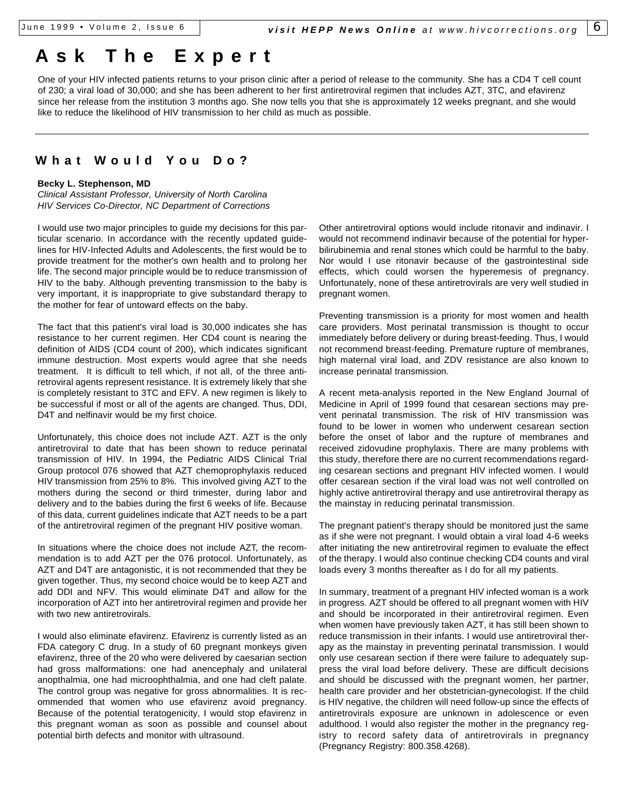# **Ask The Exper t**

One of your HIV infected patients returns to your prison clinic after a period of release to the community. She has a CD4 T cell count of 230; a viral load of 30,000; and she has been adherent to her first antiretroviral regimen that includes AZT, 3TC, and efavirenz since her release from the institution 3 months ago. She now tells you that she is approximately 12 weeks pregnant, and she would like to reduce the likelihood of HIV transmission to her child as much as possible.

## **What Would You Do?**

## **Becky L. Stephenson, MD**

*Clinical Assistant Professor, University of North Carolina HIV Services Co-Director, NC Department of Corrections*

I would use two major principles to guide my decisions for this particular scenario. In accordance with the recently updated guidelines for HIV-Infected Adults and Adolescents, the first would be to provide treatment for the mother's own health and to prolong her life. The second major principle would be to reduce transmission of HIV to the baby. Although preventing transmission to the baby is very important, it is inappropriate to give substandard therapy to the mother for fear of untoward effects on the baby.

The fact that this patient's viral load is 30,000 indicates she has resistance to her current regimen. Her CD4 count is nearing the definition of AIDS (CD4 count of 200), which indicates significant immune destruction. Most experts would agree that she needs treatment. It is difficult to tell which, if not all, of the three antiretroviral agents represent resistance. It is extremely likely that she is completely resistant to 3TC and EFV. A new regimen is likely to be successful if most or all of the agents are changed. Thus, DDI, D4T and nelfinavir would be my first choice.

Unfortunately, this choice does not include AZT. AZT is the only antiretroviral to date that has been shown to reduce perinatal transmission of HIV. In 1994, the Pediatric AIDS Clinical Trial Group protocol 076 showed that AZT chemoprophylaxis reduced HIV transmission from 25% to 8%. This involved giving AZT to the mothers during the second or third trimester, during labor and delivery and to the babies during the first 6 weeks of life. Because of this data, current guidelines indicate that AZT needs to be a part of the antiretroviral regimen of the pregnant HIV positive woman.

In situations where the choice does not include AZT, the recommendation is to add AZT per the 076 protocol. Unfortunately, as AZT and D4T are antagonistic, it is not recommended that they be given together. Thus, my second choice would be to keep AZT and add DDI and NFV. This would eliminate D4T and allow for the incorporation of AZT into her antiretroviral regimen and provide her with two new antiretrovirals.

I would also eliminate efavirenz. Efavirenz is currently listed as an FDA category C drug. In a study of 60 pregnant monkeys given efavirenz, three of the 20 who were delivered by caesarian section had gross malformations: one had anencephaly and unilateral anopthalmia, one had microophthalmia, and one had cleft palate. The control group was negative for gross abnormalities. It is recommended that women who use efavirenz avoid pregnancy. Because of the potential teratogenicity, I would stop efavirenz in this pregnant woman as soon as possible and counsel about potential birth defects and monitor with ultrasound.

Other antiretroviral options would include ritonavir and indinavir. I would not recommend indinavir because of the potential for hyperbilirubinemia and renal stones which could be harmful to the baby. Nor would I use ritonavir because of the gastrointestinal side effects, which could worsen the hyperemesis of pregnancy. Unfortunately, none of these antiretrovirals are very well studied in pregnant women.

Preventing transmission is a priority for most women and health care providers. Most perinatal transmission is thought to occur immediately before delivery or during breast-feeding. Thus, I would not recommend breast-feeding. Premature rupture of membranes, high maternal viral load, and ZDV resistance are also known to increase perinatal transmission.

A recent meta-analysis reported in the New England Journal of Medicine in April of 1999 found that cesarean sections may prevent perinatal transmission. The risk of HIV transmission was found to be lower in women who underwent cesarean section before the onset of labor and the rupture of membranes and received zidovudine prophylaxis. There are many problems with this study, therefore there are no current recommendations regarding cesarean sections and pregnant HIV infected women. I would offer cesarean section if the viral load was not well controlled on highly active antiretroviral therapy and use antiretroviral therapy as the mainstay in reducing perinatal transmission.

The pregnant patient's therapy should be monitored just the same as if she were not pregnant. I would obtain a viral load 4-6 weeks after initiating the new antiretroviral regimen to evaluate the effect of the therapy. I would also continue checking CD4 counts and viral loads every 3 months thereafter as I do for all my patients.

In summary, treatment of a pregnant HIV infected woman is a work in progress. AZT should be offered to all pregnant women with HIV and should be incorporated in their antiretroviral regimen. Even when women have previously taken AZT, it has still been shown to reduce transmission in their infants. I would use antiretroviral therapy as the mainstay in preventing perinatal transmission. I would only use cesarean section if there were failure to adequately suppress the viral load before delivery. These are difficult decisions and should be discussed with the pregnant women, her partner, health care provider and her obstetrician-gynecologist. If the child is HIV negative, the children will need follow-up since the effects of antiretrovirals exposure are unknown in adolescence or even adulthood. I would also register the mother in the pregnancy registry to record safety data of antiretrovirals in pregnancy (Pregnancy Registry: 800.358.4268).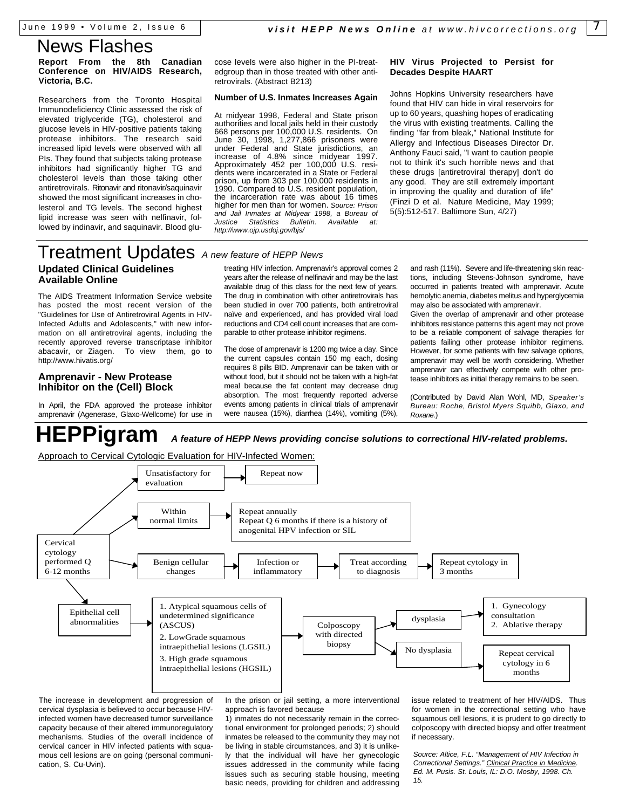## **Report From the 8th Canadian Conference on HIV/AIDS Research, Victoria, B.C.**

Researchers from the Toronto Hospital Immunodeficiency Clinic assessed the risk of elevated triglyceride (TG), cholesterol and glucose levels in HIV-positive patients taking protease inhibitors. The research said increased lipid levels were observed with all PIs. They found that subjects taking protease inhibitors had significantly higher TG and cholesterol levels than those taking other antiretrovirals. Ritonavir and ritonavir/saquinavir showed the most significant increases in cholesterol and TG levels. The second highest lipid increase was seen with nelfinavir, followed by indinavir, and saquinavir. Blood glu-

cose levels were also higher in the PI-treatedgroup than in those treated with other antiretrovirals. (Abstract B213)

### **Number of U.S. Inmates Increases Again**

At midyear 1998, Federal and State prison authorities and local jails held in their custody 668 persons per 100,000 U.S. residents. On June 30, 1998, 1,277,866 prisoners were under Federal and State jurisdictions, an increase of 4.8% since midyear 1997. Approximately 452 per 100,000 U.S. residents were incarcerated in a State or Federal prison, up from 303 per 100,000 residents in 1990. Compared to U.S. resident population, the incarceration rate was about 16 times higher for men than for women. *Source: Prison and Jail Inmates at Midyear 1998, a Bureau of Justice Statistics Bulletin. Available at: http://www.ojp.usdoj.gov/bjs/*

## **HIV Virus Projected to Persist for Decades Despite HAART**

Johns Hopkins University researchers have found that HIV can hide in viral reservoirs for up to 60 years, quashing hopes of eradicating the virus with existing treatments. Calling the finding "far from bleak," National Institute for Allergy and Infectious Diseases Director Dr. Anthony Fauci said, "I want to caution people not to think it's such horrible news and that these drugs [antiretroviral therapy] don't do any good. They are still extremely important in improving the quality and duration of life" (Finzi D et al. Nature Medicine, May 1999; 5(5):512-517. Baltimore Sun, 4/27)

## Treatment Updates *A new feature of HEPP News* **Updated Clinical Guidelines Available Online**

The AIDS Treatment Information Service website has posted the most recent version of the "Guidelines for Use of Antiretroviral Agents in HIV-Infected Adults and Adolescents," with new information on all antiretroviral agents, including the recently approved reverse transcriptase inhibitor abacavir, or Ziagen. To view them, go to http://www.hivatis.org/

## **Amprenavir - New Protease Inhibitor on the (Cell) Block**

In April, the FDA approved the protease inhibitor amprenavir (Agenerase, Glaxo-Wellcome) for use in

treating HIV infection. Amprenavir's approval comes 2 years after the release of nelfinavir and may be the last available drug of this class for the next few of years. The drug in combination with other antiretrovirals has been studied in over 700 patients, both antiretroviral naïve and experienced, and has provided viral load reductions and CD4 cell count increases that are comparable to other protease inhibitor regimens.

The dose of amprenavir is 1200 mg twice a day. Since the current capsules contain 150 mg each, dosing requires 8 pills BID. Amprenavir can be taken with or without food, but it should not be taken with a high-fat meal because the fat content may decrease drug absorption. The most frequently reported adverse events among patients in clinical trials of amprenavir were nausea (15%), diarrhea (14%), vomiting (5%),

and rash (11%). Severe and life-threatening skin reactions, including Stevens-Johnson syndrome, have occurred in patients treated with amprenavir. Acute hemolytic anemia, diabetes melitus and hyperglycemia may also be associated with amprenavir.

Given the overlap of amprenavir and other protease inhibitors resistance patterns this agent may not prove to be a reliable component of salvage therapies for patients failing other protease inhibitor regimens. However, for some patients with few salvage options, amprenavir may well be worth considering. Whether amprenavir can effectively compete with other protease inhibitors as initial therapy remains to be seen.

(Contributed by David Alan Wohl, MD, *Speaker's Bureau: Roche, Bristol Myers Squibb, Glaxo, and Roxane.*)

**HEPPigram** *A feature of HEPP News providing concise solutions to correctional HIV-related problems.*

Approach to Cervical Cytologic Evaluation for HIV-Infected Women:



The increase in development and progression of cervical dysplasia is believed to occur because HIVinfected women have decreased tumor surveillance capacity because of their altered immunoregulatory mechanisms. Studies of the overall incidence of cervical cancer in HIV infected patients with squamous cell lesions are on going (personal communication, S. Cu-Uvin).

In the prison or jail setting, a more interventional approach is favored because

1) inmates do not necessarily remain in the correctional environment for prolonged periods; 2) should inmates be released to the community they may not be living in stable circumstances, and 3) it is unlikely that the individual will have her gynecologic issues addressed in the community while facing issues such as securing stable housing, meeting basic needs, providing for children and addressing issue related to treatment of her HIV/AIDS. Thus for women in the correctional setting who have squamous cell lesions, it is prudent to go directly to colposcopy with directed biopsy and offer treatment if necessary.

*Source: Altice, F.L. "Management of HIV Infection in Correctional Settings." Clinical Practice in Medicine. Ed. M. Pusis. St. Louis, IL: D.O. Mosby, 1998. Ch. 15.*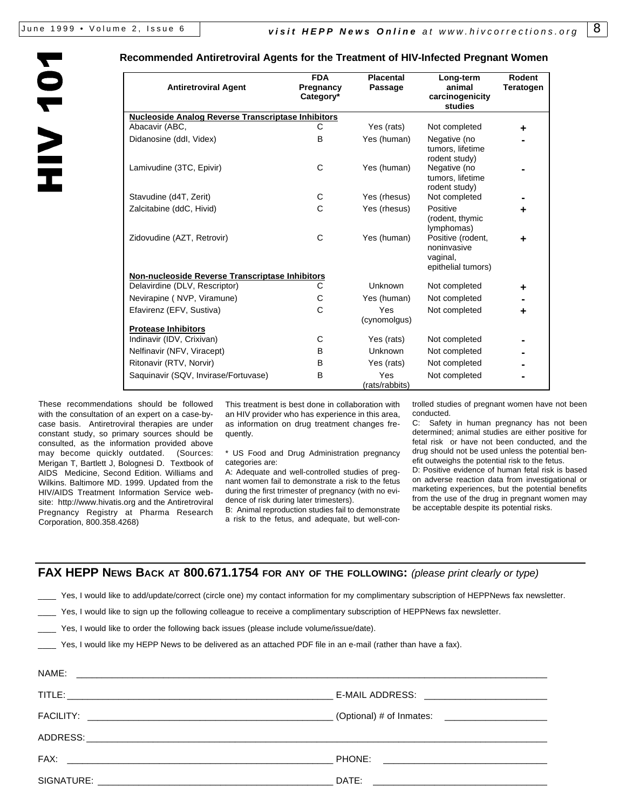NOL AIH

## **Recommended Antiretroviral Agents for the Treatment of HIV-Infected Pregnant Women**

| <b>Antiretroviral Agent</b>                                                      | <b>FDA</b><br>Pregnancy<br>Category* | <b>Placental</b><br>Passage | Long-term<br>animal<br>carcinogenicity<br>studies                                                   | Rodent<br><b>Teratogen</b> |
|----------------------------------------------------------------------------------|--------------------------------------|-----------------------------|-----------------------------------------------------------------------------------------------------|----------------------------|
| <b>Nucleoside Analog Reverse Transcriptase Inhibitors</b>                        |                                      |                             |                                                                                                     |                            |
| Abacavir (ABC,                                                                   | C                                    | Yes (rats)                  | Not completed                                                                                       | ٠                          |
| Didanosine (ddl, Videx)                                                          | B                                    | Yes (human)                 | Negative (no<br>tumors, lifetime<br>rodent study)                                                   |                            |
| Lamivudine (3TC, Epivir)                                                         | C                                    | Yes (human)                 | Negative (no<br>tumors, lifetime<br>rodent study)                                                   |                            |
| Stavudine (d4T, Zerit)                                                           | С                                    | Yes (rhesus)                | Not completed                                                                                       |                            |
| Zalcitabine (ddC, Hivid)                                                         | C                                    | Yes (rhesus)                | Positive                                                                                            | ٠                          |
| Zidovudine (AZT, Retrovir)                                                       | C                                    | Yes (human)                 | (rodent, thymic<br>lymphomas)<br>Positive (rodent,<br>noninvasive<br>vaginal,<br>epithelial tumors) | ٠                          |
| Non-nucleoside Reverse Transcriptase Inhibitors<br>Delavirdine (DLV, Rescriptor) | C                                    | <b>Unknown</b>              | Not completed                                                                                       |                            |
| Nevirapine (NVP, Viramune)                                                       | С                                    | Yes (human)                 | Not completed                                                                                       | ٠                          |
| Efavirenz (EFV, Sustiva)                                                         | C                                    | <b>Yes</b><br>(cynomolgus)  | Not completed                                                                                       | ÷                          |
| <b>Protease Inhibitors</b>                                                       |                                      |                             |                                                                                                     |                            |
| Indinavir (IDV, Crixivan)                                                        | C                                    | Yes (rats)                  | Not completed                                                                                       |                            |
| Nelfinavir (NFV, Viracept)                                                       | В                                    | Unknown                     | Not completed                                                                                       |                            |
| Ritonavir (RTV, Norvir)                                                          | B                                    | Yes (rats)                  | Not completed                                                                                       |                            |
| Saquinavir (SQV, Invirase/Fortuvase)                                             | В                                    | Yes<br>(rats/rabbits)       | Not completed                                                                                       |                            |

These recommendations should be followed with the consultation of an expert on a case-bycase basis. Antiretroviral therapies are under constant study, so primary sources should be consulted, as the information provided above may become quickly outdated. (Sources: Merigan T, Bartlett J, Bolognesi D. Textbook of AIDS Medicine, Second Edition. Williams and Wilkins. Baltimore MD. 1999. Updated from the HIV/AIDS Treatment Information Service website: http://www.hivatis.org and the Antiretroviral Pregnancy Registry at Pharma Research Corporation, 800.358.4268)

This treatment is best done in collaboration with an HIV provider who has experience in this area, as information on drug treatment changes frequently.

\* US Food and Drug Administration pregnancy categories are:

A: Adequate and well-controlled studies of pregnant women fail to demonstrate a risk to the fetus during the first trimester of pregnancy (with no evidence of risk during later trimesters).

B: Animal reproduction studies fail to demonstrate a risk to the fetus, and adequate, but well-controlled studies of pregnant women have not been conducted.

C: Safety in human pregnancy has not been determined; animal studies are either positive for fetal risk or have not been conducted, and the drug should not be used unless the potential benefit outweighs the potential risk to the fetus.

D: Positive evidence of human fetal risk is based on adverse reaction data from investigational or marketing experiences, but the potential benefits from the use of the drug in pregnant women may be acceptable despite its potential risks.

## **FAX HEPP NEWS BACK AT 800.671.1754 FOR ANY OF THE FOLLOWING:** *(please print clearly or type)*

Yes, I would like to add/update/correct (circle one) my contact information for my complimentary subscription of HEPPNews fax newsletter.

Yes, I would like to sign up the following colleague to receive a complimentary subscription of HEPPNews fax newsletter.

Yes, I would like to order the following back issues (please include volume/issue/date).

Yes, I would like my HEPP News to be delivered as an attached PDF file in an e-mail (rather than have a fax).

| NAME: |                                             |
|-------|---------------------------------------------|
|       | E-MAIL ADDRESS: ___________________________ |
|       |                                             |
|       |                                             |
|       |                                             |
|       |                                             |